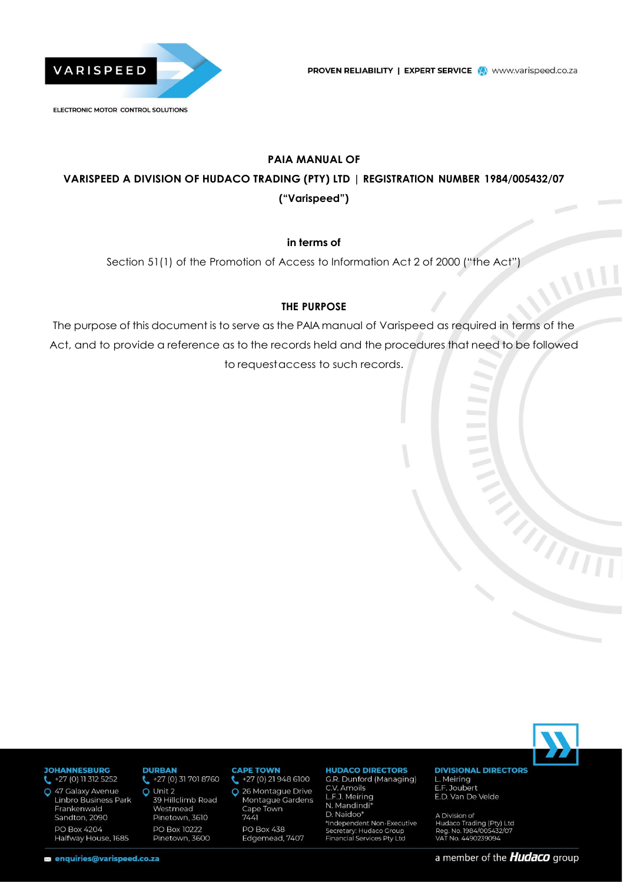

# **PAIA MANUAL OF VARISPEED A DIVISION OF HUDACO TRADING (PTY) LTD | REGISTRATION NUMBER 1984/005432/07 ("Varispeed")**

### **in terms of**

Section 51(1) of the Promotion of Access to Information Act 2 of 2000 ("the Act")

### **THE PURPOSE**

The purpose of this document is to serve as the PAIA manual of Varispeed as required in terms of the Act, and to provide a reference as to the records held and the procedures that need to be followed to request access to such records.



#### **JOHANNESBURG**

- $\leftarrow$  +27 (0) 11 312 5252
- Q 47 Galaxy Avenue Linbro Business Park Frankenwald Sandton, 2090 PO Box 4204 Halfway House, 1685

### **DURRAN**

 $27(0) 317018760$ Q Unit 2 39 Hillclimb Road Westmead Pinetown, 3610 PO Box 10222 Pinetown, 3600

#### **CAPE TOWN**

+27 (0) 21 948 6100 L 26 Montague Drive O Montague Gardens Cape Town  $7441$ **PO Box 438** Edgemead, 7407

### **HUDACO DIRECTORS**

G.R. Dunford (Managing) C.V. Amoils C.v. Amolis<br>L.F.J. Meiring<br>N. Mandindi\* D. Naidoo\* \*Independent Non-Executive Secretary: Hudaco Group<br>Financial Services Pty Ltd

#### **DIVISIONAL DIRECTORS** L. Meiring E.F. Joubert E.D. Van De Velde

A Division of<br>Hudaco Trading (Pty) Ltd<br>Reg. No. 1984/005432/07<br>VAT No. 4490239094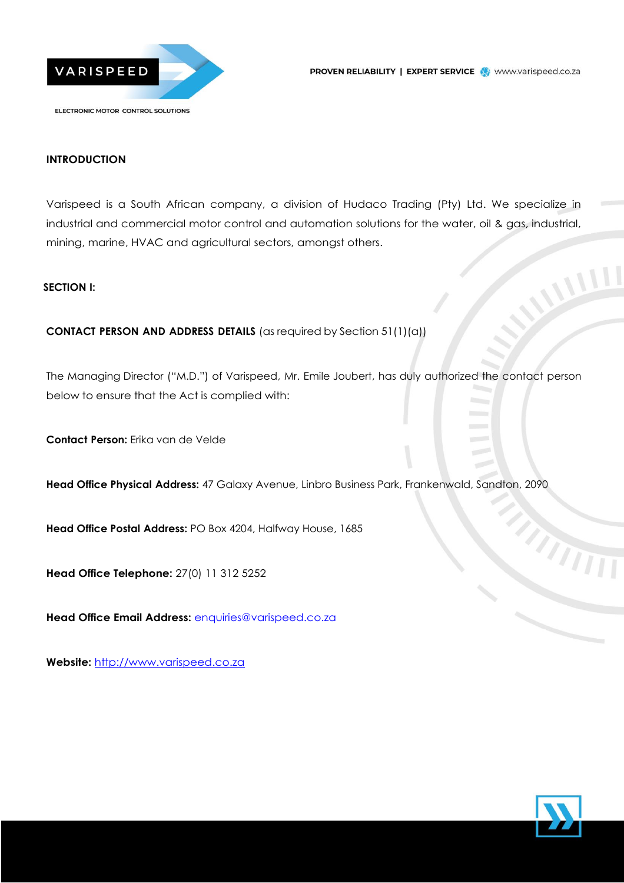

### **INTRODUCTION**

Varispeed is a South African company, a division of Hudaco Trading (Pty) Ltd. We specialize in industrial and commercial motor control and automation solutions for the water, oil & gas, industrial, mining, marine, HVAC and agricultural sectors, amongst others.

#### **SECTION I:**

### **CONTACT PERSON AND ADDRESS DETAILS** (as required by Section 51(1)(a))

The Managing Director ("M.D.") of Varispeed, Mr. Emile Joubert, has duly authorized the contact person below to ensure that the Act is complied with:

**Contact Person:** Erika van de Velde

**Head Office Physical Address:** 47 Galaxy Avenue, Linbro Business Park, Frankenwald, Sandton, 2090

**Head Office Postal Address:** PO Box 4204, Halfway House, 1685

**Head Office Telephone:** 27(0) 11 312 5252

**Head Office Email Address:** [enquiries@varispeed.co.za](mailto:enquiries@varispeed.co.za)

**Website:** [http://www.varispeed.co.za](http://www.varispeed.co.za/)



MANIT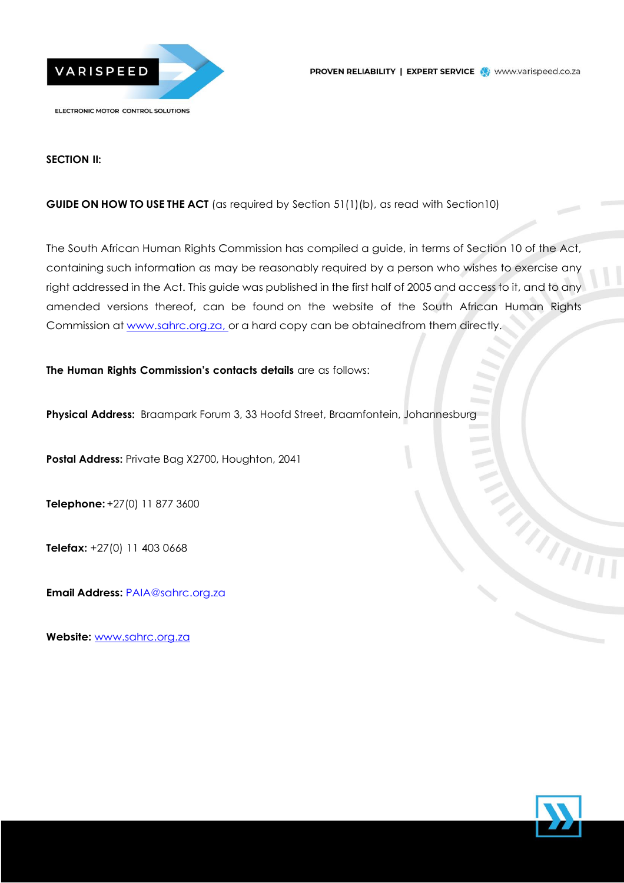



#### **SECTION II:**

### **GUIDE ON HOW TO USE THE ACT** (as required by Section 51(1)(b), as read with Section10)

The South African Human Rights Commission has compiled a guide, in terms of Section 10 of the Act, containing such information as may be reasonably required by a person who wishes to exercise any right addressed in the Act. This guide was published in the first half of 2005 and access to it, and to any amended versions thereof, can be found on the website of the South African Human Rights Commission at [www.sahrc.org.za,](http://www.sahrc.org.za,/) or a hard copy can be obtainedfrom them directly.

**The Human Rights Commission's contacts details** are as follows:

**Physical Address:** Braampark Forum 3, 33 Hoofd Street, Braamfontein, Johannesburg

**Postal Address:** Private Bag X2700, Houghton, 2041

**Telephone:** +27(0) 11 877 3600

**Telefax:** +27(0) 11 403 0668

**Email Address:** [PAIA@sahrc.org.za](mailto:PAIA@sahrc.org.za)

**Website:** [www.sahrc.org.za](http://www.sahrc.org.za/)

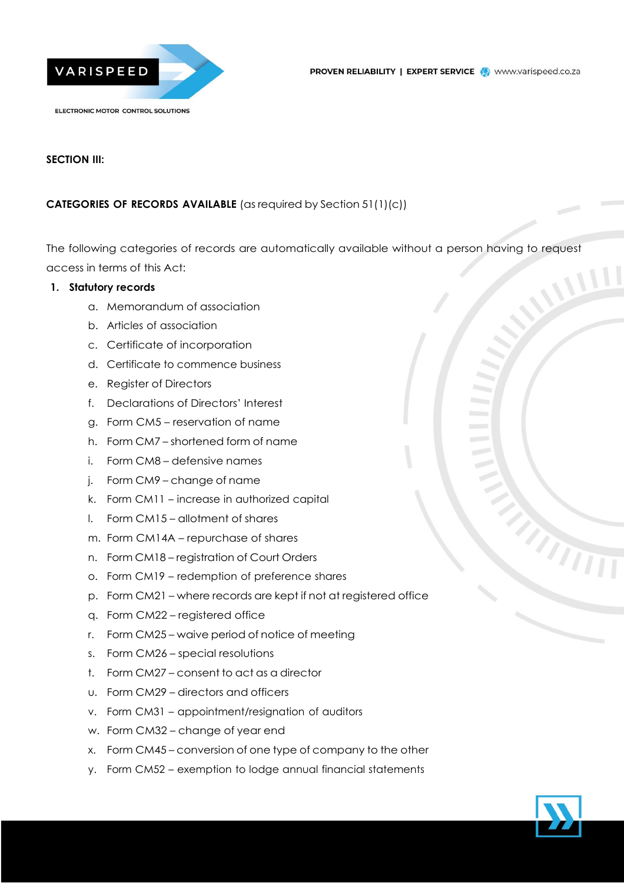

### **SECTION III:**

### **CATEGORIES OF RECORDS AVAILABLE** (as required by Section 51(1)(c))

The following categories of records are automatically available without a person having to request access in terms of this Act:

#### **1. Statutory records**

- a. Memorandum of association
- b. Articles of association
- c. Certificate of incorporation
- d. Certificate to commence business
- e. Register of Directors
- f. Declarations of Directors' Interest
- g. Form CM5 reservation of name
- h. Form CM7 shortened form of name
- i. Form CM8 defensive names
- j. Form CM9 change of name
- k. Form CM11 increase in authorized capital
- l. Form CM15 allotment of shares
- m. Form CM14A repurchase of shares
- n. Form CM18 registration of Court Orders
- o. Form CM19 redemption of preference shares
- p. Form CM21 where records are kept if not at registered office
- q. Form CM22 registered office
- r. Form CM25 waive period of notice of meeting
- s. Form CM26 special resolutions
- t. Form CM27 consent to act as a director
- u. Form CM29 directors and officers
- v. Form CM31 appointment/resignation of auditors
- w. Form CM32 change of year end
- x. Form CM45 conversion of one type of company to the other
- y. Form CM52 exemption to lodge annual financial statements

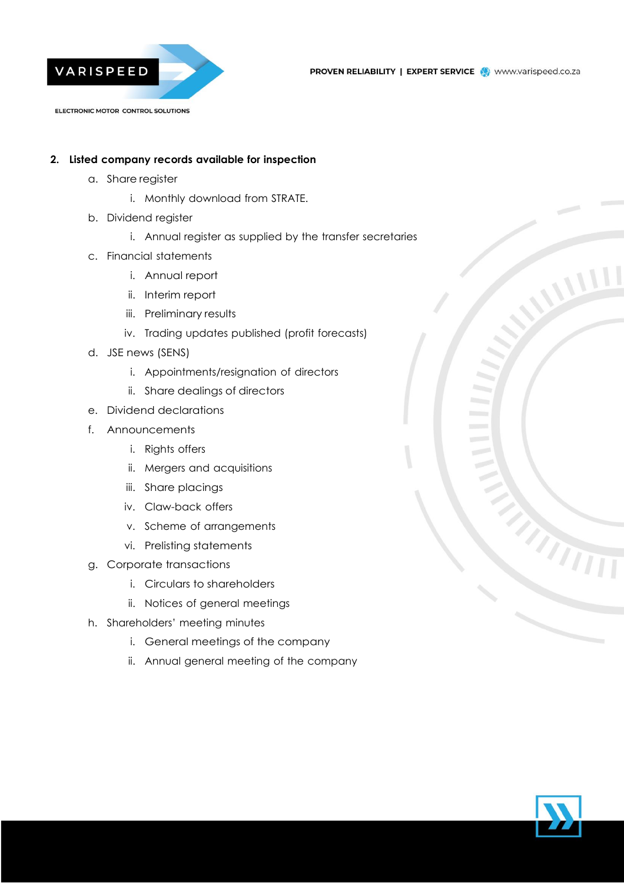

### **2. Listed company records available for inspection**

- a. Share register
	- i. Monthly download from STRATE.
- b. Dividend register
	- i. Annual register as supplied by the transfer secretaries
- c. Financial statements
	- i. Annual report
	- ii. Interim report
	- iii. Preliminary results
	- iv. Trading updates published (profit forecasts)
- d. JSE news (SENS)
	- i. Appointments/resignation of directors
	- ii. Share dealings of directors
- e. Dividend declarations
- f. Announcements
	- i. Rights offers
	- ii. Mergers and acquisitions
	- iii. Share placings
	- iv. Claw-back offers
	- v. Scheme of arrangements
	- vi. Prelisting statements
- g. Corporate transactions
	- i. Circulars to shareholders
	- ii. Notices of general meetings
- h. Shareholders' meeting minutes
	- i. General meetings of the company
	- ii. Annual general meeting of the company

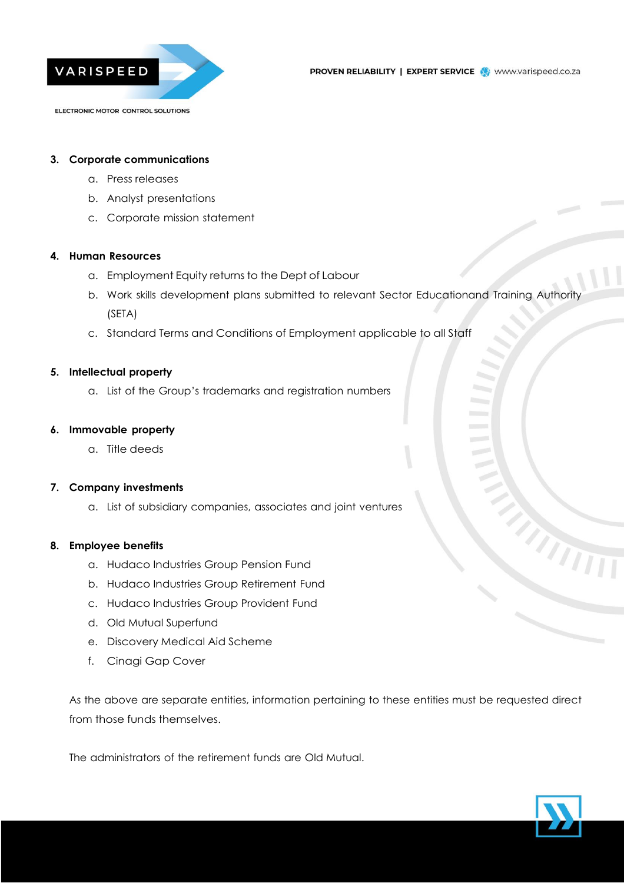

#### **3. Corporate communications**

- a. Press releases
- b. Analyst presentations
- c. Corporate mission statement

#### **4. Human Resources**

- a. Employment Equity returns to the Dept of Labour
- b. Work skills development plans submitted to relevant Sector Educationand Training Authority (SETA)
- c. Standard Terms and Conditions of Employment applicable to all Staff

#### **5. Intellectual property**

a. List of the Group's trademarks and registration numbers

#### **6. Immovable property**

a. Title deeds

#### **7. Company investments**

a. List of subsidiary companies, associates and joint ventures

#### **8. Employee benefits**

- a. Hudaco Industries Group Pension Fund
- b. Hudaco Industries Group Retirement Fund
- c. Hudaco Industries Group Provident Fund
- d. Old Mutual Superfund
- e. Discovery Medical Aid Scheme
- f. Cinagi Gap Cover

As the above are separate entities, information pertaining to these entities must be requested direct from those funds themselves.

The administrators of the retirement funds are Old Mutual.

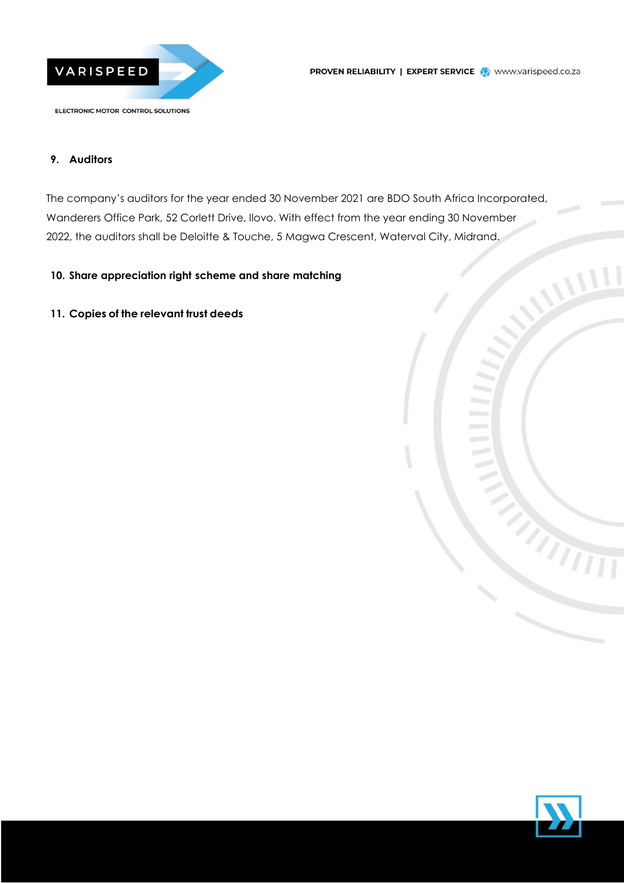

#### **9. Auditors**

The company's auditors for the year ended 30 November 2021 are BDO South Africa Incorporated, Wanderers Office Park, 52 Corlett Drive, Ilovo. With effect from the year ending 30 November 2022, the auditors shall be Deloitte & Touche, 5 Magwa Crescent, Waterval City, Midrand.

### **10. Share appreciation right scheme and share matching**

**11. Copies of the relevant trust deeds**

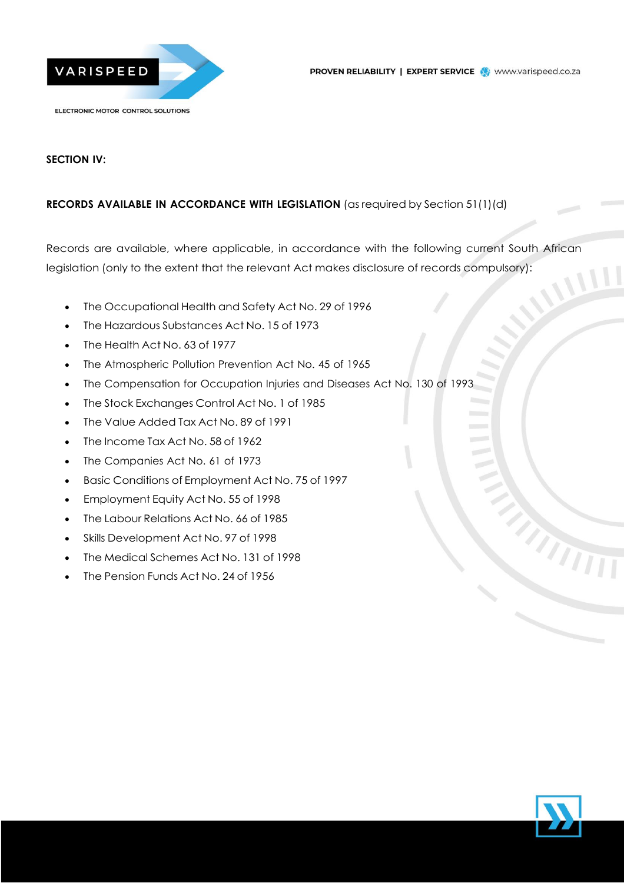

### **SECTION IV:**

### **RECORDS AVAILABLE IN ACCORDANCE WITH LEGISLATION** (as required by Section 51(1)(d)

Records are available, where applicable, in accordance with the following current South African legislation (only to the extent that the relevant Act makes disclosure of records compulsory):

- The Occupational Health and Safety Act No. 29 of 1996
- The Hazardous Substances Act No. 15 of 1973
- The Health Act No. 63 of 1977
- The Atmospheric Pollution Prevention Act No. 45 of 1965
- The Compensation for Occupation Injuries and Diseases Act No. 130 of 1993
- The Stock Exchanges Control Act No. 1 of 1985
- The Value Added Tax Act No. 89 of 1991
- The Income Tax Act No. 58 of 1962
- The Companies Act No. 61 of 1973
- Basic Conditions of Employment Act No. 75 of 1997
- Employment Equity Act No. 55 of 1998
- The Labour Relations Act No. 66 of 1985
- Skills Development Act No. 97 of 1998
- The Medical Schemes Act No. 131 of 1998
- The Pension Funds Act No. 24 of 1956

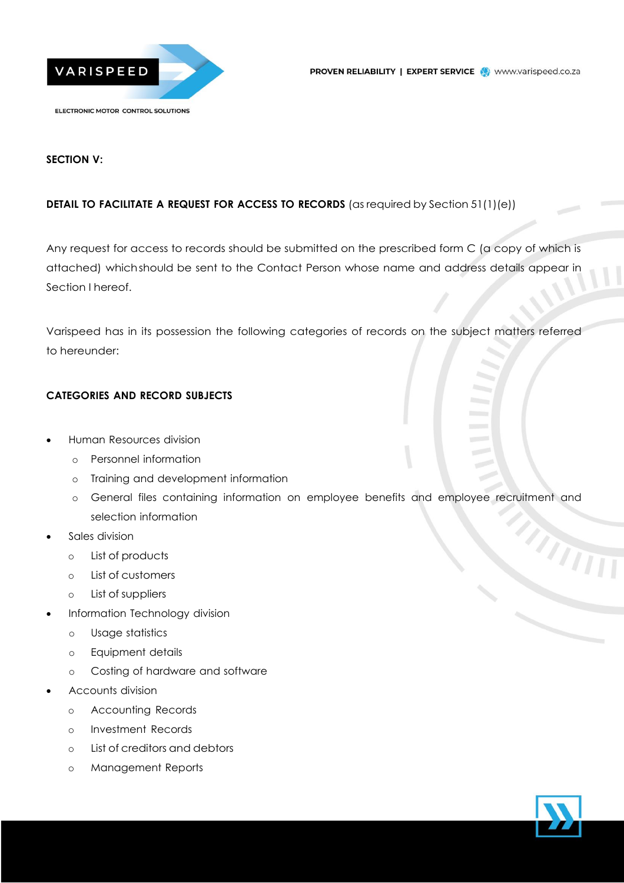

### **SECTION V:**

### **DETAIL TO FACILITATE A REQUEST FOR ACCESS TO RECORDS** (as required by Section 51(1)(e))

Any request for access to records should be submitted on the prescribed form C (a copy of which is attached) whichshould be sent to the Contact Person whose name and address details appear in Section I hereof.

Varispeed has in its possession the following categories of records on the subject matters referred to hereunder:

### **CATEGORIES AND RECORD SUBJECTS**

- Human Resources division
	- o Personnel information
	- o Training and development information
	- o General files containing information on employee benefits and employee recruitment and selection information MATTI
- Sales division
	- o List of products
	- o List of customers
	- o List of suppliers
- Information Technology division
	- o Usage statistics
	- o Equipment details
	- o Costing of hardware and software
- Accounts division
	- o Accounting Records
	- o Investment Records
	- o List of creditors and debtors
	- o Management Reports

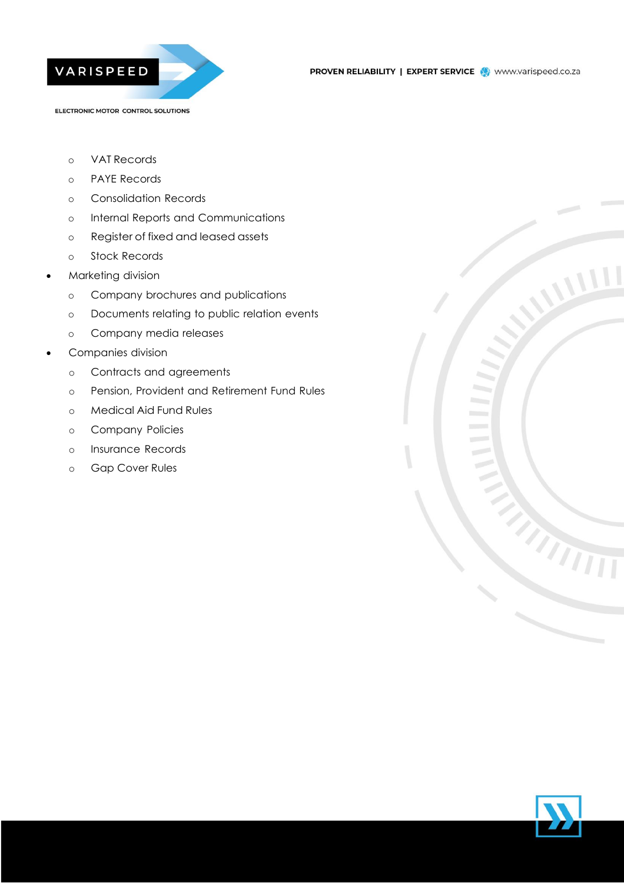

- o VAT Records
- o PAYE Records
- o Consolidation Records
- o Internal Reports and Communications
- o Register of fixed and leased assets
- o Stock Records
- Marketing division
	- o Company brochures and publications
	- o Documents relating to public relation events
	- o Company media releases
- Companies division
	- o Contracts and agreements
	- o Pension, Provident and Retirement Fund Rules
	- o Medical Aid Fund Rules
	- o Company Policies
	- o Insurance Records
	- o Gap Cover Rules



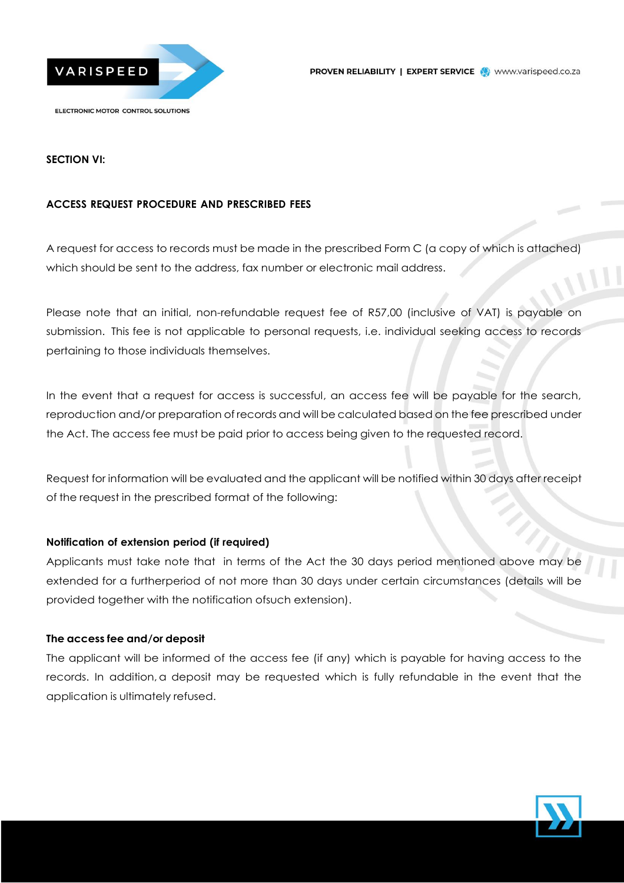



### **SECTION VI:**

### **ACCESS REQUEST PROCEDURE AND PRESCRIBED FEES**

A request for access to records must be made in the prescribed Form C (a copy of which is attached) which should be sent to the address, fax number or electronic mail address.

Please note that an initial, non-refundable request fee of R57,00 (inclusive of VAT) is payable on submission. This fee is not applicable to personal requests, i.e. individual seeking access to records pertaining to those individuals themselves.

In the event that a request for access is successful, an access fee will be payable for the search, reproduction and/or preparation of records and will be calculated based on the fee prescribed under the Act. The access fee must be paid prior to access being given to the requested record.

Request for information will be evaluated and the applicant will be notified within 30 days after receipt of the request in the prescribed format of the following:

### **Notification of extension period (if required)**

Applicants must take note that in terms of the Act the 30 days period mentioned above may be extended for a furtherperiod of not more than 30 days under certain circumstances (details will be provided together with the notification ofsuch extension).

### **The access fee and/or deposit**

The applicant will be informed of the access fee (if any) which is payable for having access to the records. In addition, a deposit may be requested which is fully refundable in the event that the application is ultimately refused.

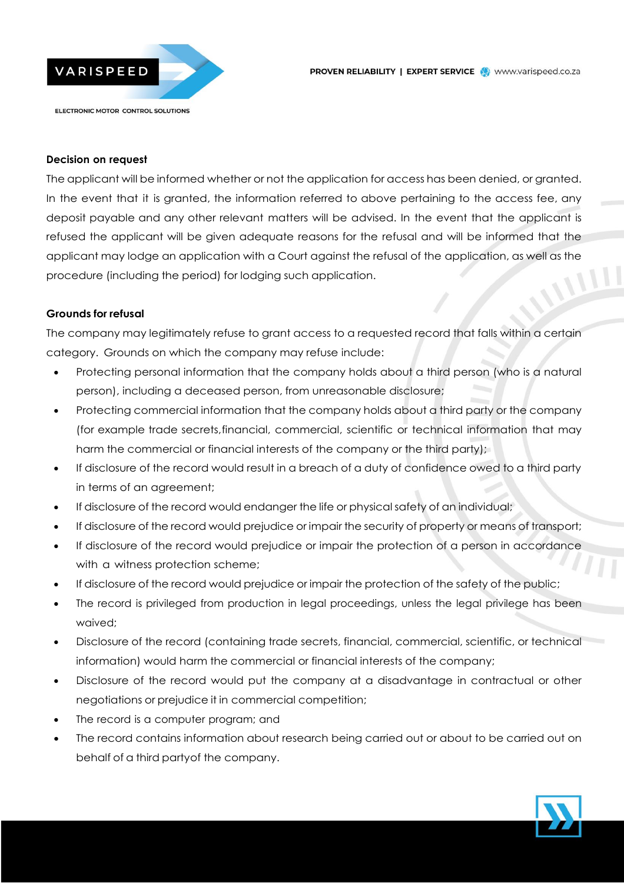



#### **Decision on request**

The applicant will be informed whether or not the application for access has been denied, or granted. In the event that it is granted, the information referred to above pertaining to the access fee, any deposit payable and any other relevant matters will be advised. In the event that the applicant is refused the applicant will be given adequate reasons for the refusal and will be informed that the applicant may lodge an application with a Court against the refusal of the application, as well as the procedure (including the period) for lodging such application.

#### **Grounds for refusal**

The company may legitimately refuse to grant access to a requested record that falls within a certain category. Grounds on which the company may refuse include:

- Protecting personal information that the company holds about a third person (who is a natural person), including a deceased person, from unreasonable disclosure;
- Protecting commercial information that the company holds about a third party or the company (for example trade secrets,financial, commercial, scientific or technical information that may harm the commercial or financial interests of the company or the third party);
- If disclosure of the record would result in a breach of a duty of confidence owed to a third party in terms of an agreement;
- If disclosure of the record would endanger the life or physical safety of an individual;
- If disclosure of the record would prejudice or impair the security of property or means of transport;
- If disclosure of the record would prejudice or impair the protection of a person in accordance with a witness protection scheme;
- If disclosure of the record would prejudice or impair the protection of the safety of the public;
- The record is privileged from production in legal proceedings, unless the legal privilege has been waived;
- Disclosure of the record (containing trade secrets, financial, commercial, scientific, or technical information) would harm the commercial or financial interests of the company;
- Disclosure of the record would put the company at a disadvantage in contractual or other negotiations or prejudice it in commercial competition;
- The record is a computer program; and
- The record contains information about research being carried out or about to be carried out on behalf of a third partyof the company.

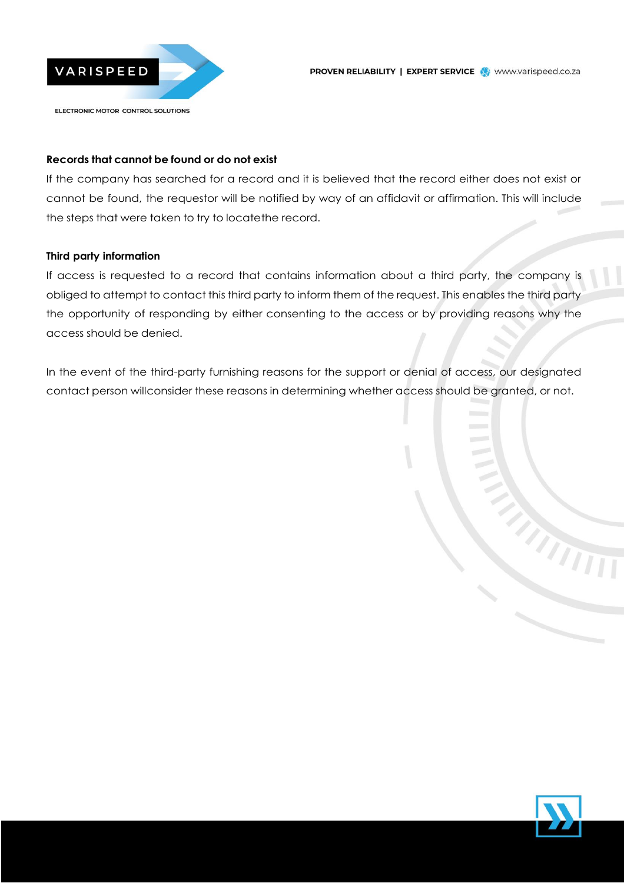

## **Records that cannot be found or do not exist**

If the company has searched for a record and it is believed that the record either does not exist or cannot be found, the requestor will be notified by way of an affidavit or affirmation. This will include the steps that were taken to try to locatethe record.

## **Third party information**

If access is requested to a record that contains information about a third party, the company is obliged to attempt to contact this third party to inform them of the request. This enables the third party the opportunity of responding by either consenting to the access or by providing reasons why the access should be denied.

In the event of the third-party furnishing reasons for the support or denial of access, our designated contact person willconsider these reasons in determining whether access should be granted, or not.



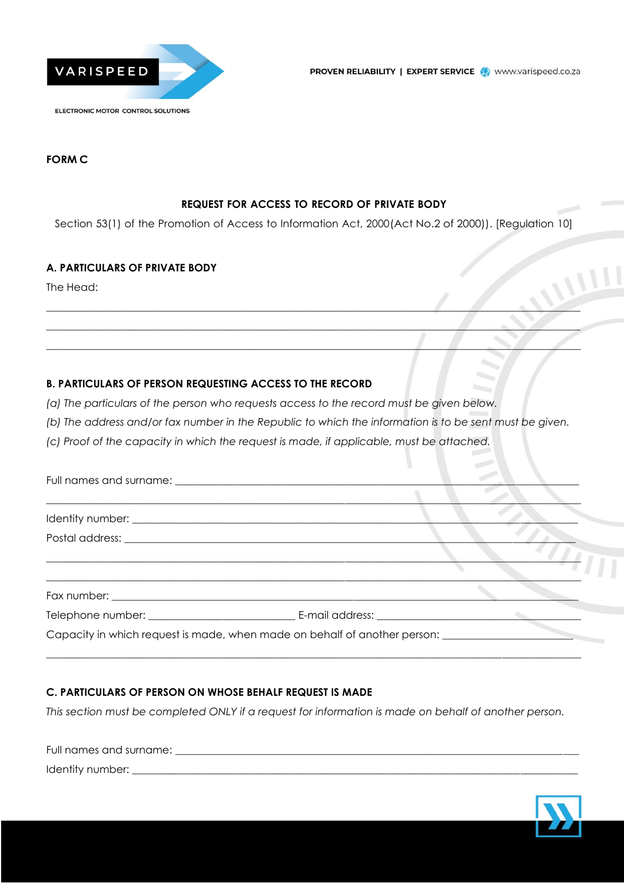

### **FORM C**

### **REQUEST FOR ACCESS TO RECORD OF PRIVATE BODY**

Section 53(1) of the Promotion of Access to Information Act, 2000(Act No.2 of 2000)). [Regulation 10]

\_\_\_\_\_\_\_\_\_\_\_\_\_\_\_\_\_\_\_\_\_\_\_\_\_\_\_\_\_\_\_\_\_\_\_\_\_\_\_\_\_\_\_\_\_\_\_\_\_\_\_\_\_\_\_\_\_\_\_\_\_\_\_\_\_\_\_\_\_\_\_\_\_\_\_\_\_\_\_\_\_\_\_\_\_\_\_\_\_\_\_\_\_\_\_\_\_\_\_\_\_\_ \_\_\_\_\_\_\_\_\_\_\_\_\_\_\_\_\_\_\_\_\_\_\_\_\_\_\_\_\_\_\_\_\_\_\_\_\_\_\_\_\_\_\_\_\_\_\_\_\_\_\_\_\_\_\_\_\_\_\_\_\_\_\_\_\_\_\_\_\_\_\_\_\_\_\_\_\_\_\_\_\_\_\_\_\_\_\_\_\_\_\_\_\_\_\_\_\_\_\_\_\_\_ \_\_\_\_\_\_\_\_\_\_\_\_\_\_\_\_\_\_\_\_\_\_\_\_\_\_\_\_\_\_\_\_\_\_\_\_\_\_\_\_\_\_\_\_\_\_\_\_\_\_\_\_\_\_\_\_\_\_\_\_\_\_\_\_\_\_\_\_\_\_\_\_\_\_\_\_\_\_\_\_\_\_\_\_\_\_\_\_\_\_\_\_\_\_\_\_\_\_\_\_\_\_

### **A. PARTICULARS OF PRIVATE BODY**

The Head:

### **B. PARTICULARS OF PERSON REQUESTING ACCESS TO THE RECORD**

*(a) The particulars of the person who requests access to the record must be given below.*

*(b) The address and/or fax number in the Republic to which the information is to be sent must be given.*

*(c) Proof of the capacity in which the request is made, if applicable, must be attached.*

| Capacity in which request is made, when made on behalf of another person: |  |
|---------------------------------------------------------------------------|--|
|                                                                           |  |

### **C. PARTICULARS OF PERSON ON WHOSE BEHALF REQUEST IS MADE**

*This section must be completed ONLY if a request for information is made on behalf of another person.*

Full names and surname: \_\_\_\_\_\_\_\_\_\_\_\_\_\_\_\_\_\_\_\_\_\_\_\_\_\_\_\_\_\_\_\_\_\_\_\_\_\_\_\_\_\_\_\_\_\_\_\_\_\_\_\_\_\_\_\_\_\_\_\_\_\_\_\_\_\_\_\_\_\_\_\_\_\_\_\_\_ Identity number: \_\_\_\_\_\_\_\_\_\_\_\_\_\_\_\_\_\_\_\_\_\_\_\_\_\_\_\_\_\_\_\_\_\_\_\_\_\_\_\_\_\_\_\_\_\_\_\_\_\_\_\_\_\_\_\_\_\_\_\_\_\_\_\_\_\_\_\_\_\_\_\_\_\_\_\_\_\_\_\_\_\_\_\_\_

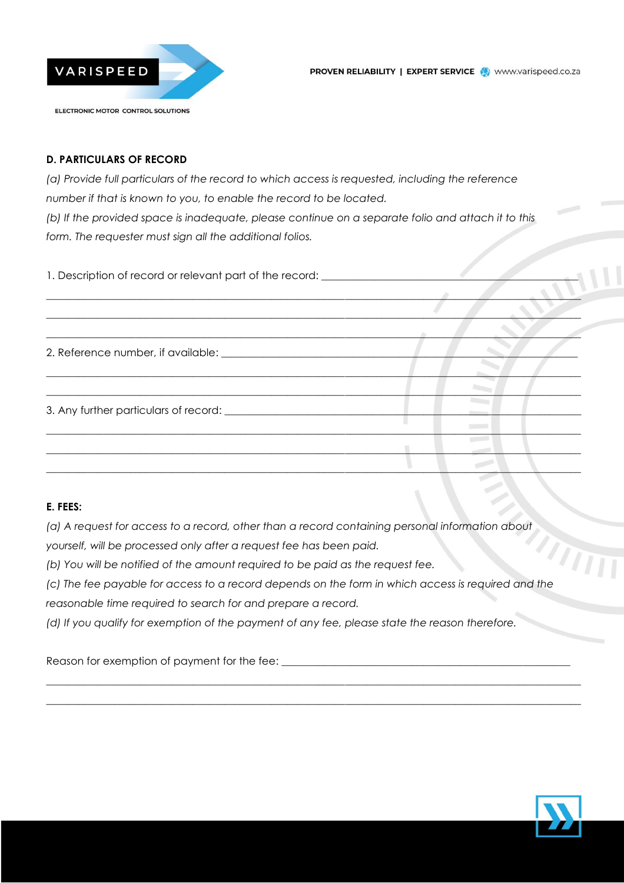

### **D. PARTICULARS OF RECORD**

*(a) Provide full particulars of the record to which access is requested, including the reference number if that is known to you, to enable the record to be located. (b) If the provided space is inadequate, please continue on a separate folio and attach it to this form. The requester must sign all the additional folios.*

1. Description of record or relevant part of the record: \_\_\_\_\_\_\_\_\_\_\_\_\_\_\_\_\_\_\_\_\_\_\_

\_\_\_\_\_\_\_\_\_\_\_\_\_\_\_\_\_\_\_\_\_\_\_\_\_\_\_\_\_\_\_\_\_\_\_\_\_\_\_\_\_\_\_\_\_\_\_\_\_\_\_\_\_\_\_\_\_\_\_\_\_\_\_\_\_\_\_\_\_\_\_\_\_\_\_\_\_\_\_\_\_\_\_\_\_\_\_\_\_\_\_\_\_\_\_\_\_\_\_\_\_\_ \_\_\_\_\_\_\_\_\_\_\_\_\_\_\_\_\_\_\_\_\_\_\_\_\_\_\_\_\_\_\_\_\_\_\_\_\_\_\_\_\_\_\_\_\_\_\_\_\_\_\_\_\_\_\_\_\_\_\_\_\_\_\_\_\_\_\_\_\_\_\_\_\_\_\_\_\_\_\_\_\_\_\_\_\_\_\_\_\_\_\_\_\_\_\_\_\_\_\_\_\_\_ 2. Reference number, if available:  $\Box$ \_\_\_\_\_\_\_\_\_\_\_\_\_\_\_\_\_\_\_\_\_\_\_\_\_\_\_\_\_\_\_\_\_\_\_\_\_\_\_\_\_\_\_\_\_\_\_\_\_\_\_\_\_\_\_\_\_\_\_\_\_\_\_\_\_\_\_\_\_\_\_\_\_\_\_\_\_\_\_\_\_\_\_\_\_\_\_\_\_\_\_\_\_\_\_\_\_\_\_\_\_\_ 3. Any further particulars of record: \_\_\_\_\_\_\_\_\_\_\_\_\_\_\_\_\_\_\_\_\_\_\_\_\_\_\_\_\_\_\_\_\_\_\_\_\_\_\_\_\_\_\_\_\_\_\_\_\_\_\_\_\_\_\_\_\_\_\_\_\_\_\_\_\_\_\_\_ \_\_\_\_\_\_\_\_\_\_\_\_\_\_\_\_\_\_\_\_\_\_\_\_\_\_\_\_\_\_\_\_\_\_\_\_\_\_\_\_\_\_\_\_\_\_\_\_\_\_\_\_\_\_\_\_\_\_\_\_\_\_\_\_\_\_\_\_\_\_\_\_\_\_\_\_\_\_\_\_\_\_\_\_\_\_\_\_\_\_\_\_\_\_\_\_\_\_\_\_\_\_ \_\_\_\_\_\_\_\_\_\_\_\_\_\_\_\_\_\_\_\_\_\_\_\_\_\_\_\_\_\_\_\_\_\_\_\_\_\_\_\_\_\_\_\_\_\_\_\_\_\_\_\_\_\_\_\_\_\_\_\_\_\_\_\_\_\_\_\_\_\_\_\_\_\_\_\_\_\_\_\_\_\_\_\_\_\_\_\_\_\_\_\_\_\_\_\_\_\_\_\_\_\_  $\blacksquare$ 

\_\_\_\_\_\_\_\_\_\_\_\_\_\_\_\_\_\_\_\_\_\_\_\_\_\_\_\_\_\_\_\_\_\_\_\_\_\_\_\_\_\_\_\_\_\_\_\_\_\_\_\_\_\_\_\_\_\_\_\_\_\_\_\_\_\_\_\_\_\_\_\_\_\_\_\_\_\_\_\_\_\_\_\_\_\_\_\_\_\_\_\_\_\_\_\_\_\_\_\_\_\_

### **E. FEES:**

*(a) A request for access to a record, other than a record containing personal information about*

*yourself, will be processed only after a request fee has been paid.*

*(b) You will be notified of the amount required to be paid as the request fee.*

*(c) The fee payable for access to a record depends on the form in which access is required and the*

 $\_$  , and the set of the set of the set of the set of the set of the set of the set of the set of the set of the set of the set of the set of the set of the set of the set of the set of the set of the set of the set of th  $\_$  , and the set of the set of the set of the set of the set of the set of the set of the set of the set of the set of the set of the set of the set of the set of the set of the set of the set of the set of the set of th

*reasonable time required to search for and prepare a record.*

*(d) If you qualify for exemption of the payment of any fee, please state the reason therefore.*

Reason for exemption of payment for the fee:

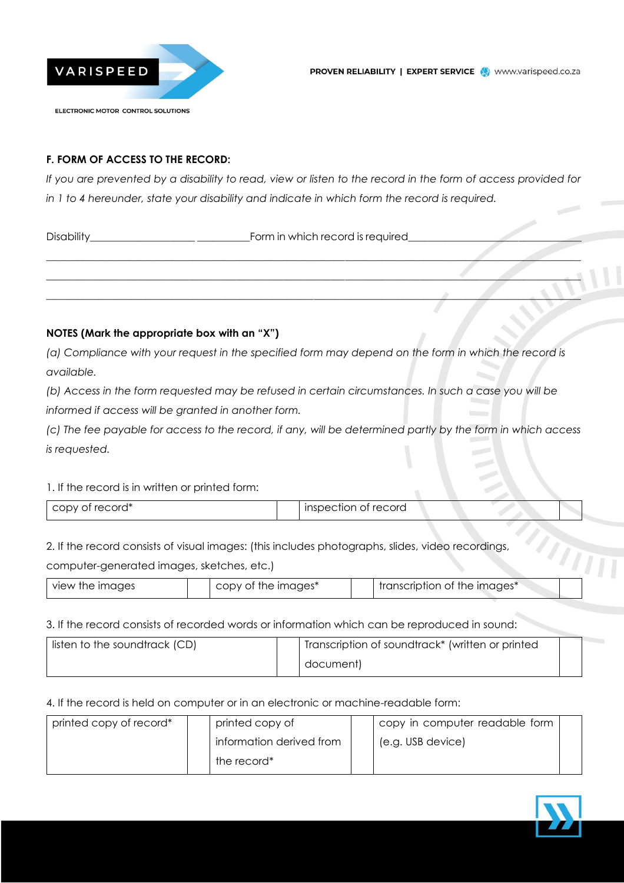

### **F. FORM OF ACCESS TO THE RECORD:**

*If you are prevented by a disability to read, view or listen to the record in the form of access provided for in 1 to 4 hereunder, state your disability and indicate in which form the record is required.*

\_\_\_\_\_\_\_\_\_\_\_\_\_\_\_\_\_\_\_\_\_\_\_\_\_\_\_\_\_\_\_\_\_\_\_\_\_\_\_\_\_\_\_\_\_\_\_\_\_\_\_\_\_\_\_\_\_\_\_\_\_\_\_\_\_\_\_\_\_\_\_\_\_\_\_\_\_\_\_\_\_\_\_\_\_\_\_\_\_\_\_\_\_\_\_\_\_\_\_\_\_\_ \_\_\_\_\_\_\_\_\_\_\_\_\_\_\_\_\_\_\_\_\_\_\_\_\_\_\_\_\_\_\_\_\_\_\_\_\_\_\_\_\_\_\_\_\_\_\_\_\_\_\_\_\_\_\_\_\_\_\_\_\_\_\_\_\_\_\_\_\_\_\_\_\_\_\_\_\_\_\_\_\_\_\_\_\_\_\_\_\_\_\_\_\_\_\_\_\_\_\_\_\_\_ \_\_\_\_\_\_\_\_\_\_\_\_\_\_\_\_\_\_\_\_\_\_\_\_\_\_\_\_\_\_\_\_\_\_\_\_\_\_\_\_\_\_\_\_\_\_\_\_\_\_\_\_\_\_\_\_\_\_\_\_\_\_\_\_\_\_\_\_\_\_\_\_\_\_\_\_\_\_\_\_\_\_\_\_\_\_\_\_\_\_\_\_\_\_\_\_\_\_\_\_\_\_

Disability\_\_\_\_\_\_\_\_\_\_\_\_\_\_\_\_\_\_\_\_ \_\_\_\_\_\_\_\_\_\_Form in which record is required\_\_\_\_\_\_\_\_\_\_\_\_\_\_\_\_\_\_\_\_\_\_\_\_\_\_\_\_\_\_\_\_\_

### **NOTES (Mark the appropriate box with an "X")**

*(a) Compliance with your request in the specified form may depend on the form in which the record is available.*

*(b) Access in the form requested may be refused in certain circumstances. In such a case you will be*

*informed if access will be granted in another form.*

*(c) The fee payable for access to the record, if any, will be determined partly by the form in which access is requested.*

#### 1. If the record is in written or printed form:

| copy of record* | inspection of record |  |
|-----------------|----------------------|--|
|                 |                      |  |

2. If the record consists of visual images: (this includes photographs, slides, video recordings,

computer-generated images, sketches, etc.)

| view the images |  | the images*<br>CODV<br>OT |  | "transcription of the images |  |
|-----------------|--|---------------------------|--|------------------------------|--|
|-----------------|--|---------------------------|--|------------------------------|--|

#### 3. If the record consists of recorded words or information which can be reproduced in sound:

| listen to the soundtrack (CD) |  | Transcription of soundtrack* (written or printed |  |
|-------------------------------|--|--------------------------------------------------|--|
|                               |  | document)                                        |  |

#### 4. If the record is held on computer or in an electronic or machine-readable form:

| printed copy of record* | printed copy of          |  | copy in computer readable form |  |
|-------------------------|--------------------------|--|--------------------------------|--|
|                         | information derived from |  | (e.g. USB device)              |  |
|                         | the record*              |  |                                |  |



 $\eta_{\rm H}$